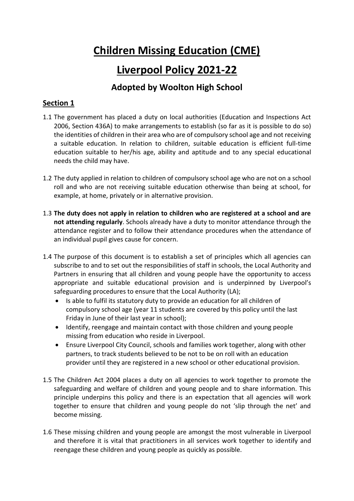# **Children Missing Education (CME)**

## **Liverpool Policy 2021-22**

## **Adopted by Woolton High School**

## **Section 1**

- 1.1 The government has placed a duty on local authorities (Education and Inspections Act 2006, Section 436A) to make arrangements to establish (so far as it is possible to do so) the identities of children in their area who are of compulsory school age and not receiving a suitable education. In relation to children, suitable education is efficient full-time education suitable to her/his age, ability and aptitude and to any special educational needs the child may have.
- 1.2 The duty applied in relation to children of compulsory school age who are not on a school roll and who are not receiving suitable education otherwise than being at school, for example, at home, privately or in alternative provision.
- 1.3 **The duty does not apply in relation to children who are registered at a school and are not attending regularly**. Schools already have a duty to monitor attendance through the attendance register and to follow their attendance procedures when the attendance of an individual pupil gives cause for concern.
- 1.4 The purpose of this document is to establish a set of principles which all agencies can subscribe to and to set out the responsibilities of staff in schools, the Local Authority and Partners in ensuring that all children and young people have the opportunity to access appropriate and suitable educational provision and is underpinned by Liverpool's safeguarding procedures to ensure that the Local Authority (LA);
	- Is able to fulfil its statutory duty to provide an education for all children of compulsory school age (year 11 students are covered by this policy until the last Friday in June of their last year in school);
	- Identify, reengage and maintain contact with those children and young people missing from education who reside in Liverpool.
	- Ensure Liverpool City Council, schools and families work together, along with other partners, to track students believed to be not to be on roll with an education provider until they are registered in a new school or other educational provision.
- 1.5 The Children Act 2004 places a duty on all agencies to work together to promote the safeguarding and welfare of children and young people and to share information. This principle underpins this policy and there is an expectation that all agencies will work together to ensure that children and young people do not 'slip through the net' and become missing.
- 1.6 These missing children and young people are amongst the most vulnerable in Liverpool and therefore it is vital that practitioners in all services work together to identify and reengage these children and young people as quickly as possible.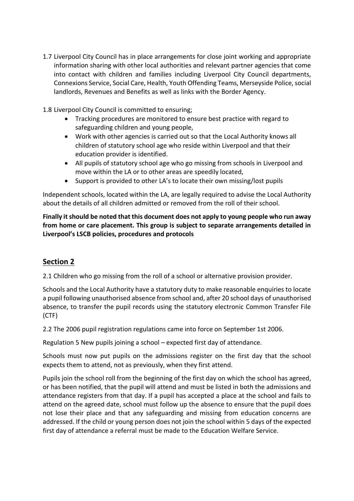- 1.7 Liverpool City Council has in place arrangements for close joint working and appropriate information sharing with other local authorities and relevant partner agencies that come into contact with children and families including Liverpool City Council departments, Connexions Service, Social Care, Health, Youth Offending Teams, Merseyside Police, social landlords, Revenues and Benefits as well as links with the Border Agency.
- 1.8 Liverpool City Council is committed to ensuring;
	- Tracking procedures are monitored to ensure best practice with regard to safeguarding children and young people,
	- Work with other agencies is carried out so that the Local Authority knows all children of statutory school age who reside within Liverpool and that their education provider is identified.
	- All pupils of statutory school age who go missing from schools in Liverpool and move within the LA or to other areas are speedily located,
	- Support is provided to other LA's to locate their own missing/lost pupils

Independent schools, located within the LA, are legally required to advise the Local Authority about the details of all children admitted or removed from the roll of their school.

**Finally it should be noted that this document does not apply to young people who run away from home or care placement. This group is subject to separate arrangements detailed in Liverpool's LSCB policies, procedures and protocols**

## **Section 2**

2.1 Children who go missing from the roll of a school or alternative provision provider.

Schools and the Local Authority have a statutory duty to make reasonable enquiries to locate a pupil following unauthorised absence from school and, after 20 school days of unauthorised absence, to transfer the pupil records using the statutory electronic Common Transfer File (CTF)

2.2 The 2006 pupil registration regulations came into force on September 1st 2006.

Regulation 5 New pupils joining a school – expected first day of attendance.

Schools must now put pupils on the admissions register on the first day that the school expects them to attend, not as previously, when they first attend.

Pupils join the school roll from the beginning of the first day on which the school has agreed, or has been notified, that the pupil will attend and must be listed in both the admissions and attendance registers from that day. If a pupil has accepted a place at the school and fails to attend on the agreed date, school must follow up the absence to ensure that the pupil does not lose their place and that any safeguarding and missing from education concerns are addressed. If the child or young person does not join the school within 5 days of the expected first day of attendance a referral must be made to the Education Welfare Service.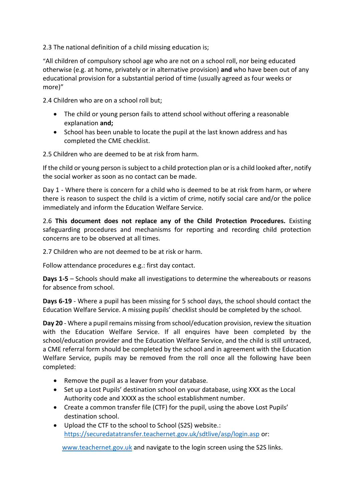2.3 The national definition of a child missing education is;

"All children of compulsory school age who are not on a school roll, nor being educated otherwise (e.g. at home, privately or in alternative provision) **and** who have been out of any educational provision for a substantial period of time (usually agreed as four weeks or more)"

2.4 Children who are on a school roll but;

- The child or young person fails to attend school without offering a reasonable explanation **and;**
- School has been unable to locate the pupil at the last known address and has completed the CME checklist.

2.5 Children who are deemed to be at risk from harm.

If the child or young person is subject to a child protection plan or is a child looked after, notify the social worker as soon as no contact can be made.

Day 1 - Where there is concern for a child who is deemed to be at risk from harm, or where there is reason to suspect the child is a victim of crime, notify social care and/or the police immediately and inform the Education Welfare Service.

2.6 **This document does not replace any of the Child Protection Procedures.** Existing safeguarding procedures and mechanisms for reporting and recording child protection concerns are to be observed at all times.

2.7 Children who are not deemed to be at risk or harm.

Follow attendance procedures e.g.: first day contact.

**Days 1-5** – Schools should make all investigations to determine the whereabouts or reasons for absence from school.

**Days 6-19** - Where a pupil has been missing for 5 school days, the school should contact the Education Welfare Service. A missing pupils' checklist should be completed by the school.

**Day 20** - Where a pupil remains missing from school/education provision, review the situation with the Education Welfare Service. If all enquires have been completed by the school/education provider and the Education Welfare Service, and the child is still untraced, a CME referral form should be completed by the school and in agreement with the Education Welfare Service, pupils may be removed from the roll once all the following have been completed:

- Remove the pupil as a leaver from your database.
- Set up a Lost Pupils' destination school on your database, using XXX as the Local Authority code and XXXX as the school establishment number.
- Create a common transfer file (CTF) for the pupil, using the above Lost Pupils' destination school.
- Upload the CTF to the school to School (S2S) website.: <https://securedatatransfer.teachernet.gov.uk/sdtlive/asp/login.asp> or:

[www.teachernet.gov.uk](http://www.teachernet.gov.uk/) and navigate to the login screen using the S2S links.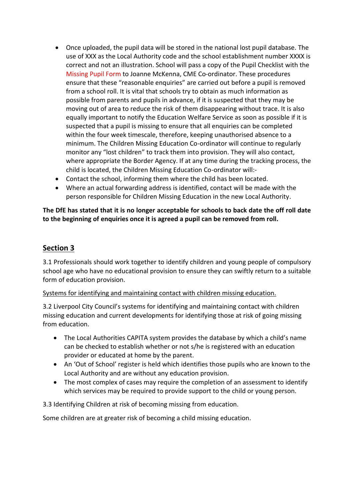- Once uploaded, the pupil data will be stored in the national lost pupil database. The use of XXX as the Local Authority code and the school establishment number XXXX is correct and not an illustration. School will pass a copy of the Pupil Checklist with the Missing Pupil Form to Joanne McKenna, CME Co-ordinator. These procedures ensure that these "reasonable enquiries" are carried out before a pupil is removed from a school roll. It is vital that schools try to obtain as much information as possible from parents and pupils in advance, if it is suspected that they may be moving out of area to reduce the risk of them disappearing without trace. It is also equally important to notify the Education Welfare Service as soon as possible if it is suspected that a pupil is missing to ensure that all enquiries can be completed within the four week timescale, therefore, keeping unauthorised absence to a minimum. The Children Missing Education Co-ordinator will continue to regularly monitor any "lost children" to track them into provision. They will also contact, where appropriate the Border Agency. If at any time during the tracking process, the child is located, the Children Missing Education Co-ordinator will:-
- Contact the school, informing them where the child has been located.
- Where an actual forwarding address is identified, contact will be made with the person responsible for Children Missing Education in the new Local Authority.

**The DfE has stated that it is no longer acceptable for schools to back date the off roll date to the beginning of enquiries once it is agreed a pupil can be removed from roll.**

## **Section 3**

3.1 Professionals should work together to identify children and young people of compulsory school age who have no educational provision to ensure they can swiftly return to a suitable form of education provision.

## Systems for identifying and maintaining contact with children missing education.

3.2 Liverpool City Council's systems for identifying and maintaining contact with children missing education and current developments for identifying those at risk of going missing from education.

- The Local Authorities CAPITA system provides the database by which a child's name can be checked to establish whether or not s/he is registered with an education provider or educated at home by the parent.
- An 'Out of School' register is held which identifies those pupils who are known to the Local Authority and are without any education provision.
- The most complex of cases may require the completion of an assessment to identify which services may be required to provide support to the child or young person.
- 3.3 Identifying Children at risk of becoming missing from education.

Some children are at greater risk of becoming a child missing education.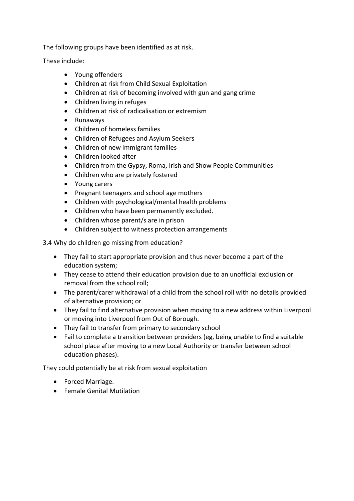The following groups have been identified as at risk.

These include:

- Young offenders
- Children at risk from Child Sexual Exploitation
- Children at risk of becoming involved with gun and gang crime
- Children living in refuges
- Children at risk of radicalisation or extremism
- Runaways
- Children of homeless families
- Children of Refugees and Asylum Seekers
- Children of new immigrant families
- Children looked after
- Children from the Gypsy, Roma, Irish and Show People Communities
- Children who are privately fostered
- Young carers
- Pregnant teenagers and school age mothers
- Children with psychological/mental health problems
- Children who have been permanently excluded.
- Children whose parent/s are in prison
- Children subject to witness protection arrangements

3.4 Why do children go missing from education?

- They fail to start appropriate provision and thus never become a part of the education system;
- They cease to attend their education provision due to an unofficial exclusion or removal from the school roll;
- The parent/carer withdrawal of a child from the school roll with no details provided of alternative provision; or
- They fail to find alternative provision when moving to a new address within Liverpool or moving into Liverpool from Out of Borough.
- They fail to transfer from primary to secondary school
- Fail to complete a transition between providers (eg, being unable to find a suitable school place after moving to a new Local Authority or transfer between school education phases).

They could potentially be at risk from sexual exploitation

- Forced Marriage.
- Female Genital Mutilation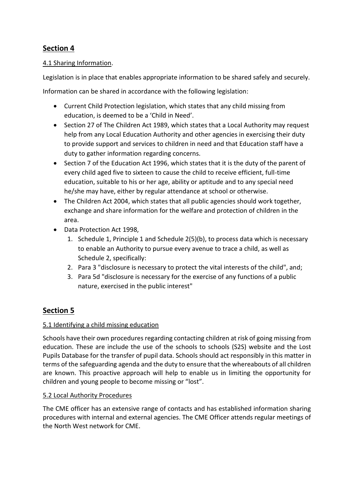## **Section 4**

## 4.1 Sharing Information.

Legislation is in place that enables appropriate information to be shared safely and securely.

Information can be shared in accordance with the following legislation:

- Current Child Protection legislation, which states that any child missing from education, is deemed to be a 'Child in Need'.
- Section 27 of The Children Act 1989, which states that a Local Authority may request help from any Local Education Authority and other agencies in exercising their duty to provide support and services to children in need and that Education staff have a duty to gather information regarding concerns.
- Section 7 of the Education Act 1996, which states that it is the duty of the parent of every child aged five to sixteen to cause the child to receive efficient, full-time education, suitable to his or her age, ability or aptitude and to any special need he/she may have, either by regular attendance at school or otherwise.
- The Children Act 2004, which states that all public agencies should work together, exchange and share information for the welfare and protection of children in the area.
- Data Protection Act 1998,
	- 1. Schedule 1, Principle 1 and Schedule 2(5)(b), to process data which is necessary to enable an Authority to pursue every avenue to trace a child, as well as Schedule 2, specifically:
	- 2. Para 3 "disclosure is necessary to protect the vital interests of the child", and;
	- 3. Para 5d "disclosure is necessary for the exercise of any functions of a public nature, exercised in the public interest"

## **Section 5**

## 5.1 Identifying a child missing education

Schools have their own procedures regarding contacting children at risk of going missing from education. These are include the use of the schools to schools (S2S) website and the Lost Pupils Database for the transfer of pupil data. Schools should act responsibly in this matter in terms of the safeguarding agenda and the duty to ensure that the whereabouts of all children are known. This proactive approach will help to enable us in limiting the opportunity for children and young people to become missing or "lost".

## 5.2 Local Authority Procedures

The CME officer has an extensive range of contacts and has established information sharing procedures with internal and external agencies. The CME Officer attends regular meetings of the North West network for CME.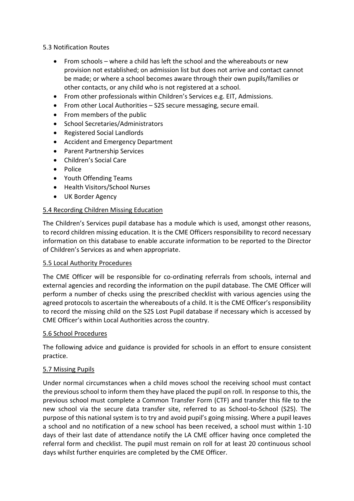#### 5.3 Notification Routes

- From schools where a child has left the school and the whereabouts or new provision not established; on admission list but does not arrive and contact cannot be made; or where a school becomes aware through their own pupils/families or other contacts, or any child who is not registered at a school.
- From other professionals within Children's Services e.g. EIT, Admissions.
- From other Local Authorities S2S secure messaging, secure email.
- From members of the public
- School Secretaries/Administrators
- Registered Social Landlords
- Accident and Emergency Department
- Parent Partnership Services
- Children's Social Care
- Police
- Youth Offending Teams
- Health Visitors/School Nurses
- UK Border Agency

#### 5.4 Recording Children Missing Education

The Children's Services pupil database has a module which is used, amongst other reasons, to record children missing education. It is the CME Officers responsibility to record necessary information on this database to enable accurate information to be reported to the Director of Children's Services as and when appropriate.

#### 5.5 Local Authority Procedures

The CME Officer will be responsible for co-ordinating referrals from schools, internal and external agencies and recording the information on the pupil database. The CME Officer will perform a number of checks using the prescribed checklist with various agencies using the agreed protocols to ascertain the whereabouts of a child. It is the CME Officer's responsibility to record the missing child on the S2S Lost Pupil database if necessary which is accessed by CME Officer's within Local Authorities across the country.

#### 5.6 School Procedures

The following advice and guidance is provided for schools in an effort to ensure consistent practice.

#### 5.7 Missing Pupils

Under normal circumstances when a child moves school the receiving school must contact the previous school to inform them they have placed the pupil on roll. In response to this, the previous school must complete a Common Transfer Form (CTF) and transfer this file to the new school via the secure data transfer site, referred to as School-to-School (S2S). The purpose of this national system is to try and avoid pupil's going missing. Where a pupil leaves a school and no notification of a new school has been received, a school must within 1-10 days of their last date of attendance notify the LA CME officer having once completed the referral form and checklist. The pupil must remain on roll for at least 20 continuous school days whilst further enquiries are completed by the CME Officer.